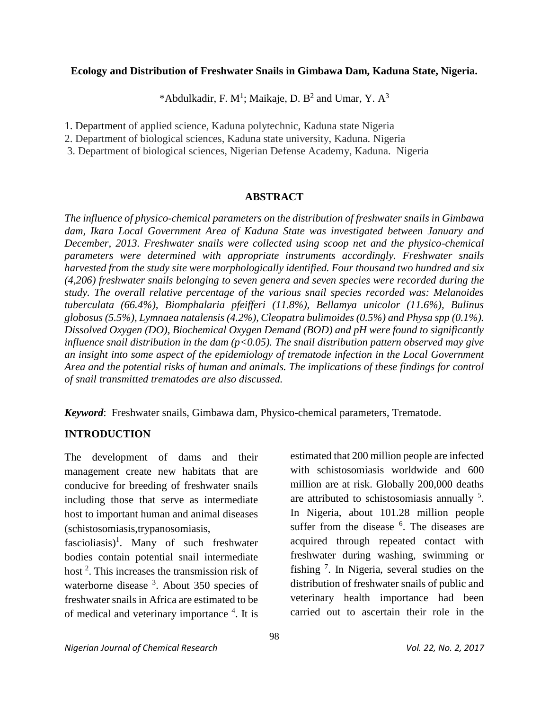### **Ecology and Distribution of Freshwater Snails in Gimbawa Dam, Kaduna State, Nigeria.**

\*Abdulkadir, F. M<sup>1</sup>; Maikaje, D. B<sup>2</sup> and Umar, Y. A<sup>3</sup>

1. Department of applied science, Kaduna polytechnic, Kaduna state Nigeria

2. Department of biological sciences, Kaduna state university, Kaduna. Nigeria

3. Department of biological sciences, Nigerian Defense Academy, Kaduna. Nigeria

### **ABSTRACT**

*The influence of physico-chemical parameters on the distribution of freshwater snails in Gimbawa dam, Ikara Local Government Area of Kaduna State was investigated between January and December, 2013. Freshwater snails were collected using scoop net and the physico-chemical parameters were determined with appropriate instruments accordingly. Freshwater snails harvested from the study site were morphologically identified. Four thousand two hundred and six (4,206) freshwater snails belonging to seven genera and seven species were recorded during the study. The overall relative percentage of the various snail species recorded was: Melanoides tuberculata (66.4%), Biomphalaria pfeifferi (11.8%), Bellamya unicolor (11.6%), Bulinus globosus (5.5%), Lymnaea natalensis (4.2%), Cleopatra bulimoides (0.5%) and Physa spp (0.1%). Dissolved Oxygen (DO), Biochemical Oxygen Demand (BOD) and pH were found to significantly influence snail distribution in the dam (p<0.05). The snail distribution pattern observed may give an insight into some aspect of the epidemiology of trematode infection in the Local Government Area and the potential risks of human and animals. The implications of these findings for control of snail transmitted trematodes are also discussed.*

*Keyword*: Freshwater snails, Gimbawa dam, Physico-chemical parameters, Trematode.

# **INTRODUCTION**

The development of dams and their management create new habitats that are conducive for breeding of freshwater snails including those that serve as intermediate host to important human and animal diseases (schistosomiasis,trypanosomiasis,

 $fascioliasis$ <sup>1</sup>. Many of such freshwater bodies contain potential snail intermediate host<sup>2</sup>. This increases the transmission risk of waterborne disease <sup>3</sup>. About 350 species of freshwater snails in Africa are estimated to be of medical and veterinary importance <sup>4</sup>. It is

estimated that 200 million people are infected with schistosomiasis worldwide and 600 million are at risk. Globally 200,000 deaths are attributed to schistosomiasis annually  $5$ . In Nigeria, about 101.28 million people suffer from the disease <sup>6</sup>. The diseases are acquired through repeated contact with freshwater during washing, swimming or fishing<sup>7</sup>. In Nigeria, several studies on the distribution of freshwater snails of public and veterinary health importance had been carried out to ascertain their role in the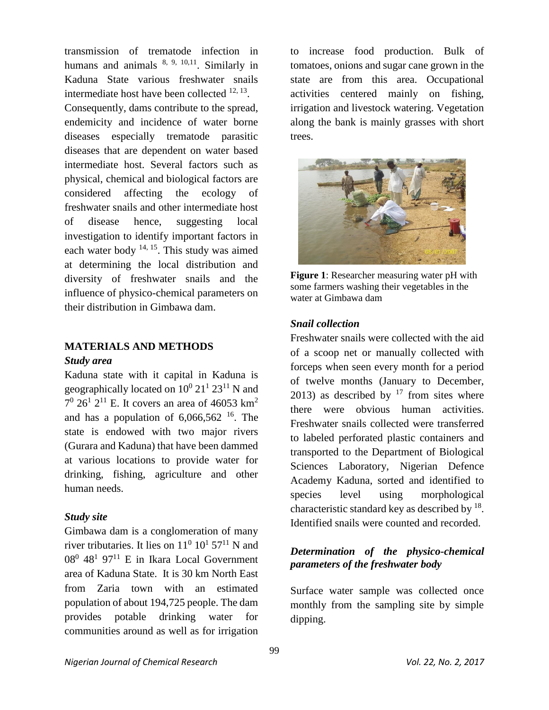transmission of trematode infection in humans and animals  $8, 9, 10, 11$ . Similarly in Kaduna State various freshwater snails intermediate host have been collected  $12, 13$ .

Consequently, dams contribute to the spread, endemicity and incidence of water borne diseases especially trematode parasitic diseases that are dependent on water based intermediate host. Several factors such as physical, chemical and biological factors are considered affecting the ecology of freshwater snails and other intermediate host of disease hence, suggesting local investigation to identify important factors in each water body  $14, 15$ . This study was aimed at determining the local distribution and diversity of freshwater snails and the influence of physico-chemical parameters on their distribution in Gimbawa dam.

#### **MATERIALS AND METHODS**

#### *Study area*

Kaduna state with it capital in Kaduna is geographically located on  $10^0 21^1 23^{11}$  N and  $7^0$  26<sup>1</sup> 2<sup>11</sup> E. It covers an area of 46053 km<sup>2</sup> and has a population of  $6,066,562$  <sup>16</sup>. The state is endowed with two major rivers (Gurara and Kaduna) that have been dammed at various locations to provide water for drinking, fishing, agriculture and other human needs.

### *Study site*

Gimbawa dam is a conglomeration of many river tributaries. It lies on  $11^0 10^1 57^{11}$  N and  $08^0$  48<sup>1</sup> 97<sup>11</sup> E in Ikara Local Government area of Kaduna State. It is 30 km North East from Zaria town with an estimated population of about 194,725 people. The dam provides potable drinking water for communities around as well as for irrigation

to increase food production. Bulk of tomatoes, onions and sugar cane grown in the state are from this area. Occupational activities centered mainly on fishing, irrigation and livestock watering. Vegetation along the bank is mainly grasses with short trees.



**Figure 1**: Researcher measuring water pH with some farmers washing their vegetables in the water at Gimbawa dam

### *Snail collection*

Freshwater snails were collected with the aid of a scoop net or manually collected with forceps when seen every month for a period of twelve months (January to December, 2013) as described by  $17$  from sites where there were obvious human activities. Freshwater snails collected were transferred to labeled perforated plastic containers and transported to the Department of Biological Sciences Laboratory, Nigerian Defence Academy Kaduna, sorted and identified to species level using morphological characteristic standard key as described by  $^{18}$ . Identified snails were counted and recorded.

# *Determination of the physico-chemical parameters of the freshwater body*

Surface water sample was collected once monthly from the sampling site by simple dipping.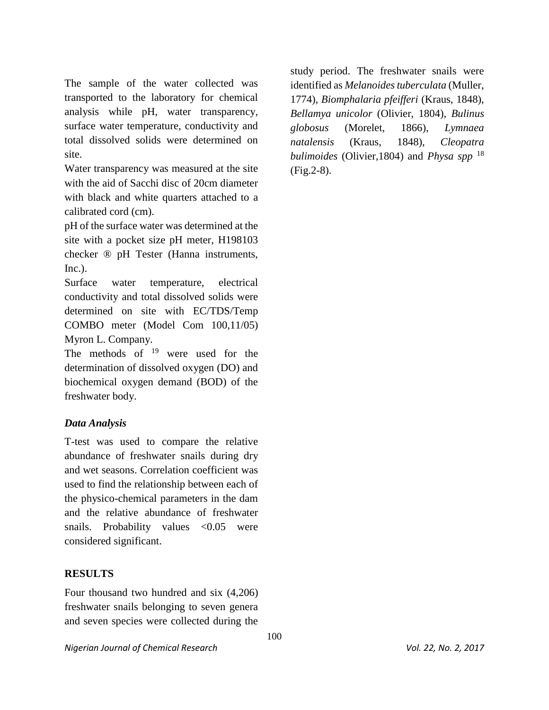The sample of the water collected was transported to the laboratory for chemical analysis while pH, water transparency, surface water temperature, conductivity and total dissolved solids were determined on site.

Water transparency was measured at the site with the aid of Sacchi disc of 20cm diameter with black and white quarters attached to a calibrated cord (cm).

pH of the surface water was determined at the site with a pocket size pH meter, H198103 checker ® pH Tester (Hanna instruments, Inc.).

Surface water temperature, electrical conductivity and total dissolved solids were determined on site with EC/TDS/Temp COMBO meter (Model Com 100,11/05) Myron L. Company.

The methods of  $19$  were used for the determination of dissolved oxygen (DO) and biochemical oxygen demand (BOD) of the freshwater body.

### *Data Analysis*

T-test was used to compare the relative abundance of freshwater snails during dry and wet seasons. Correlation coefficient was used to find the relationship between each of the physico-chemical parameters in the dam and the relative abundance of freshwater snails. Probability values <0.05 were considered significant.

### **RESULTS**

Four thousand two hundred and six (4,206) freshwater snails belonging to seven genera and seven species were collected during the

*Nigerian Journal of Chemical Research Vol. 22, No. 2, 2017*

study period. The freshwater snails were identified as *Melanoides tuberculata* (Muller, 1774), *Biomphalaria pfeifferi* (Kraus, 1848), *Bellamya unicolor* (Olivier, 1804), *Bulinus globosus* (Morelet, 1866), *Lymnaea natalensis* (Kraus, 1848), *Cleopatra bulimoides* (Olivier,1804) and *Physa spp* <sup>18</sup> (Fig.2-8).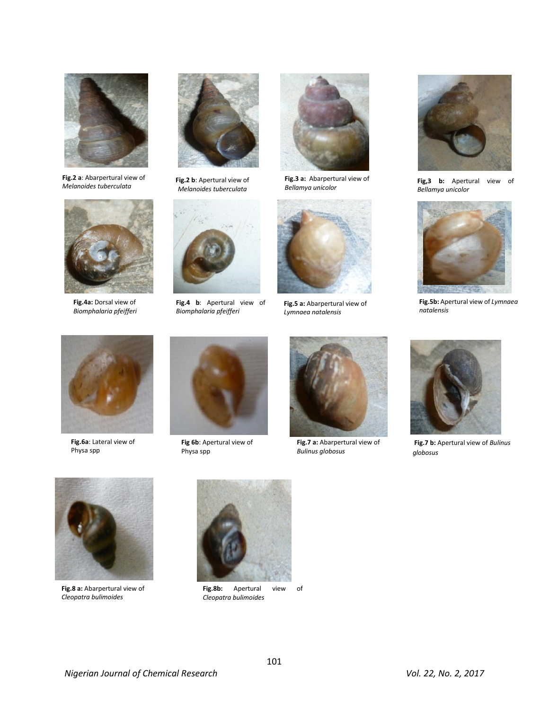

**Fig.2 a**: Abarpertural view of *Melanoides tuberculata*



**Fig.4a:** Dorsal view of *Biomphalaria pfeifferi*



**Fig.2 b**: Apertural view of *Melanoides tuberculata*



**Fig.4 b**: Apertural view of *Biomphalaria pfeifferi*



**Fig.3 a:** Abarpertural view of *Bellamya unicolor*



**Fig.5 a:** Abarpertural view of *Lymnaea natalensis*



**Fig,3 b:** Apertural view of *Bellamya unicolor*



**Fig.5b:** Apertural view of *Lymnaea natalensis*



**Fig.6a**: Lateral view of Physa spp



**Fig 6b**: Apertural view of Physa spp



**Fig.7 a:** Abarpertural view of *Bulinus globosus*



**Fig.7 b:** Apertural view of *Bulinus globosus*



 *Cleopatra bulimoides* **Fig.8 a:** Abarpertural view of



**Fig.8b:** Apertural view of *Cleopatra bulimoides*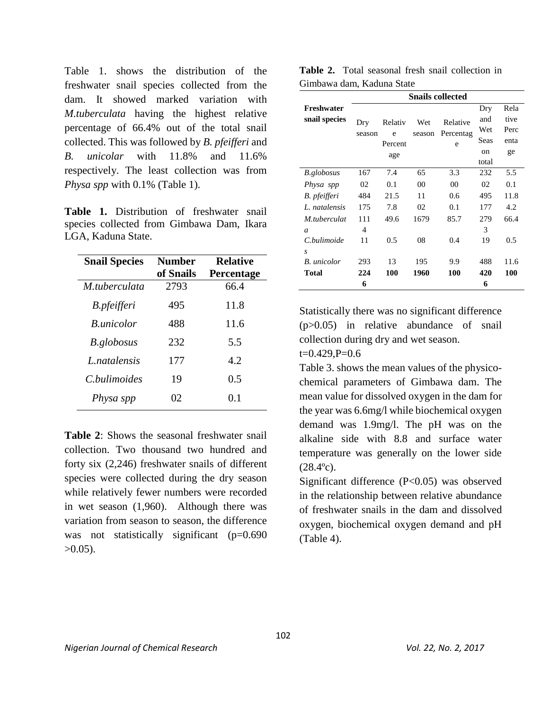Table 1. shows the distribution of the freshwater snail species collected from the dam. It showed marked variation with *M.tuberculata* having the highest relative percentage of 66.4% out of the total snail collected. This was followed by *B. pfeifferi* and *B. unicolar* with 11.8% and 11.6% respectively. The least collection was from *Physa spp* with 0.1% (Table 1).

**Table 1.** Distribution of freshwater snail species collected from Gimbawa Dam, Ikara LGA, Kaduna State.

| <b>Snail Species</b> | Number<br>of Snails | <b>Relative</b><br><b>Percentage</b> |
|----------------------|---------------------|--------------------------------------|
| M tuberculata        | 2793                | 66.4                                 |
| B.pfeifferi          | 495                 | 11.8                                 |
| <b>B</b> unicolor    | 488                 | 11.6                                 |
| B.globosus           | 232                 | 5.5                                  |
| L. natalensis        | 177                 | 4.2                                  |
| C.bulimoides         | 19                  | 0.5                                  |
| Physa spp            | 02                  | 0.1                                  |

**Table 2**: Shows the seasonal freshwater snail collection. Two thousand two hundred and forty six (2,246) freshwater snails of different species were collected during the dry season while relatively fewer numbers were recorded in wet season (1,960). Although there was variation from season to season, the difference was not statistically significant (p=0.690)  $>0.05$ ).

| <b>Table 2.</b> Total seasonal fresh snail collection in |  |
|----------------------------------------------------------|--|
| Gimbawa dam, Kaduna State                                |  |

|                   | <b>Snails collected</b> |         |        |                       |             |      |
|-------------------|-------------------------|---------|--------|-----------------------|-------------|------|
| <b>Freshwater</b> |                         |         | Dry    | Rela                  |             |      |
| snail species     | Dry                     | Relativ | Wet    | Relative<br>Percentag | and         | tive |
|                   | season                  | e       | season |                       | Wet         | Perc |
|                   |                         | Percent |        | e                     | Seas        | enta |
|                   |                         | age     |        |                       | $_{\rm on}$ | ge   |
|                   |                         |         |        |                       | total       |      |
| B.globosus        | 167                     | 7.4     | 65     | 3.3                   | 232         | 5.5  |
| Physa spp         | 02                      | 0.1     | 00     | 00                    | 02          | 0.1  |
| B. pfeifferi      | 484                     | 21.5    | 11     | 0.6                   | 495         | 11.8 |
| L. natalensis     | 175                     | 7.8     | 02     | 0.1                   | 177         | 4.2  |
| M.tuberculat      | 111                     | 49.6    | 1679   | 85.7                  | 279         | 66.4 |
| a                 | 4                       |         |        |                       | 3           |      |
| C.bulimoide       | 11                      | 0.5     | 08     | 0.4                   | 19          | 0.5  |
| S                 |                         |         |        |                       |             |      |
| B. unicolor       | 293                     | 13      | 195    | 9.9                   | 488         | 11.6 |
| Total             | 224                     | 100     | 1960   | 100                   | 420         | 100  |
|                   | 6                       |         |        |                       | 6           |      |

Statistically there was no significant difference (p>0.05) in relative abundance of snail collection during dry and wet season.

#### $t=0.429, P=0.6$

Table 3. shows the mean values of the physicochemical parameters of Gimbawa dam. The mean value for dissolved oxygen in the dam for the year was 6.6mg/l while biochemical oxygen demand was 1.9mg/l. The pH was on the alkaline side with 8.8 and surface water temperature was generally on the lower side  $(28.4^{\circ}c).$ 

Significant difference (P<0.05) was observed in the relationship between relative abundance of freshwater snails in the dam and dissolved oxygen, biochemical oxygen demand and pH (Table 4).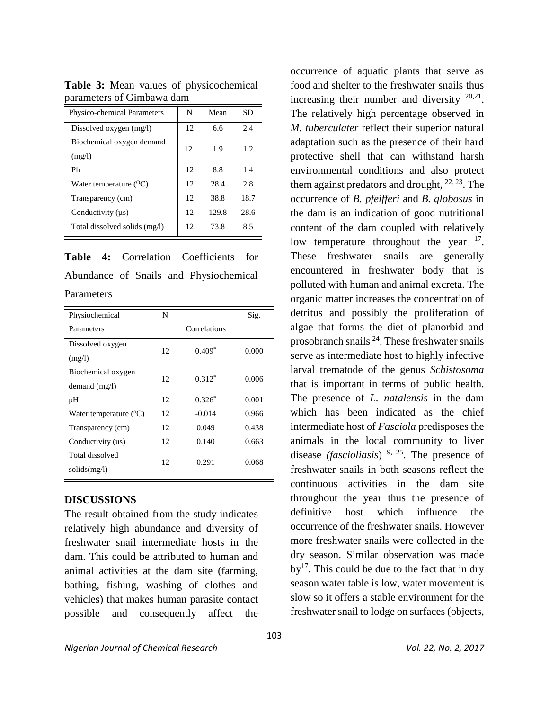| Physico-chemical Parameters         | N  | Mean  | <b>SD</b> |
|-------------------------------------|----|-------|-----------|
| Dissolved oxygen $(mg/l)$           | 12 | 6.6   | 2.4       |
| Biochemical oxygen demand<br>(mg/l) | 12 | 1.9   | 1.2       |
| Ph                                  | 12 | 8.8   | 1.4       |
| Water temperature $(^{O}C)$         | 12 | 28.4  | 2.8       |
| Transparency (cm)                   | 12 | 38.8  | 18.7      |
| Conductivity (us)                   | 12 | 129.8 | 28.6      |
| Total dissolved solids (mg/l)       | 12 | 73.8  | 8.5       |

**Table 3:** Mean values of physicochemical parameters of Gimbawa dam

**Table 4:** Correlation Coefficients for Abundance of Snails and Physiochemical Parameters

| N  |                | Sig.                          |
|----|----------------|-------------------------------|
|    | Correlations   |                               |
|    |                | 0.000                         |
|    |                |                               |
|    |                | 0.006                         |
|    |                |                               |
| 12 | $0.326*$       | 0.001                         |
| 12 | $-0.014$       | 0.966                         |
| 12 | 0.049          | 0.438                         |
| 12 | 0.140          | 0.663                         |
|    |                | 0.068                         |
|    |                |                               |
|    | 12<br>12<br>12 | $0.409*$<br>$0.312*$<br>0.291 |

#### **DISCUSSIONS**

The result obtained from the study indicates relatively high abundance and diversity of freshwater snail intermediate hosts in the dam. This could be attributed to human and animal activities at the dam site (farming, bathing, fishing, washing of clothes and vehicles) that makes human parasite contact possible and consequently affect the

occurrence of aquatic plants that serve as food and shelter to the freshwater snails thus increasing their number and diversity  $20,21$ . The relatively high percentage observed in *M. tuberculater* reflect their superior natural adaptation such as the presence of their hard protective shell that can withstand harsh environmental conditions and also protect them against predators and drought,  $22, 23$ . The occurrence of *B. pfeifferi* and *B. globosus* in the dam is an indication of good nutritional content of the dam coupled with relatively low temperature throughout the year  $17$ . These freshwater snails are generally encountered in freshwater body that is polluted with human and animal excreta. The organic matter increases the concentration of detritus and possibly the proliferation of algae that forms the diet of planorbid and prosobranch snails <sup>24</sup>. These freshwater snails serve as intermediate host to highly infective larval trematode of the genus *Schistosoma* that is important in terms of public health. The presence of *L. natalensis* in the dam which has been indicated as the chief intermediate host of *Fasciola* predisposes the animals in the local community to liver disease *(fascioliasis*) 9, 25. The presence of freshwater snails in both seasons reflect the continuous activities in the dam site throughout the year thus the presence of definitive host which influence the occurrence of the freshwater snails. However more freshwater snails were collected in the dry season. Similar observation was made  $by<sup>17</sup>$ . This could be due to the fact that in dry season water table is low, water movement is slow so it offers a stable environment for the freshwater snail to lodge on surfaces (objects,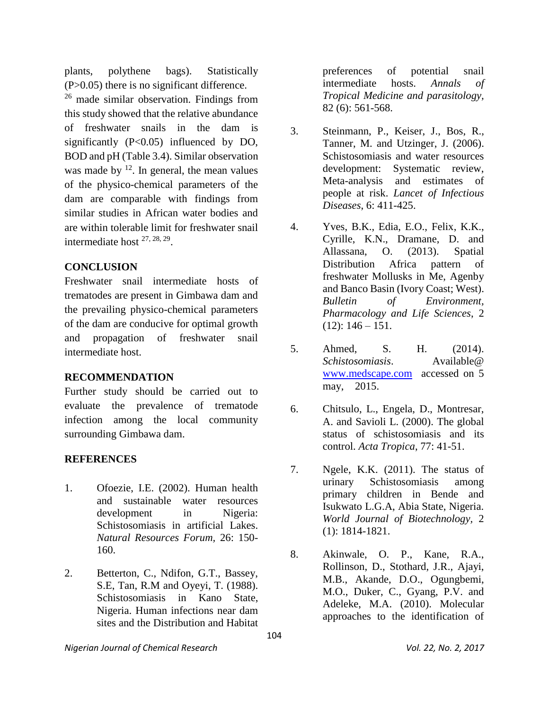plants, polythene bags). Statistically (P>0.05) there is no significant difference. <sup>26</sup> made similar observation. Findings from this study showed that the relative abundance of freshwater snails in the dam is significantly (P<0.05) influenced by DO, BOD and pH (Table 3.4). Similar observation was made by  $12$ . In general, the mean values of the physico-chemical parameters of the dam are comparable with findings from similar studies in African water bodies and are within tolerable limit for freshwater snail intermediate host 27, 28, 29 .

# **CONCLUSION**

Freshwater snail intermediate hosts of trematodes are present in Gimbawa dam and the prevailing physico-chemical parameters of the dam are conducive for optimal growth and propagation of freshwater snail intermediate host.

# **RECOMMENDATION**

Further study should be carried out to evaluate the prevalence of trematode infection among the local community surrounding Gimbawa dam.

# **REFERENCES**

- 1. Ofoezie, I.E. (2002). Human health and sustainable water resources development in Nigeria: Schistosomiasis in artificial Lakes. *Natural Resources Forum,* 26: 150- 160.
- 2. Betterton, C., Ndifon, G.T., Bassey, S.E, Tan, R.M and Oyeyi, T. (1988). Schistosomiasis in Kano State, Nigeria. Human infections near dam sites and the Distribution and Habitat

preferences of potential snail intermediate hosts. *Annals of Tropical Medicine and parasitology,*  82 (6): 561-568.

- 3. Steinmann, P., Keiser, J., Bos, R., Tanner, M. and Utzinger, J. (2006). Schistosomiasis and water resources development: Systematic review, Meta-analysis and estimates of people at risk. *Lancet of Infectious Diseases*, 6: 411-425.
- 4. Yves, B.K., Edia, E.O., Felix, K.K., Cyrille, K.N., Dramane, D. and Allassana, O. (2013). Spatial Distribution Africa pattern of freshwater Mollusks in Me, Agenby and Banco Basin (Ivory Coast; West). *Bulletin of Environment, Pharmacology and Life Sciences*, 2  $(12): 146 - 151.$
- 5. Ahmed, S. H. (2014). *Schistosomiasis*. Available@ [www.medscape.com](http://www.medscape.com/) accessed on 5 may, 2015.
- 6. Chitsulo, L., Engela, D., Montresar, A. and Savioli L. (2000). The global status of schistosomiasis and its control. *Acta Tropica*, 77: 41-51.
- 7. Ngele, K.K. (2011). The status of urinary Schistosomiasis among primary children in Bende and Isukwato L.G.A, Abia State, Nigeria. *World Journal of Biotechnology,* 2 (1): 1814-1821.
- 8. Akinwale, O. P., Kane, R.A., Rollinson, D., Stothard, J.R., Ajayi, M.B., Akande, D.O., Ogungbemi, M.O., Duker, C., Gyang, P.V. and Adeleke, M.A. (2010). Molecular approaches to the identification of

*Nigerian Journal of Chemical Research Vol. 22, No. 2, 2017*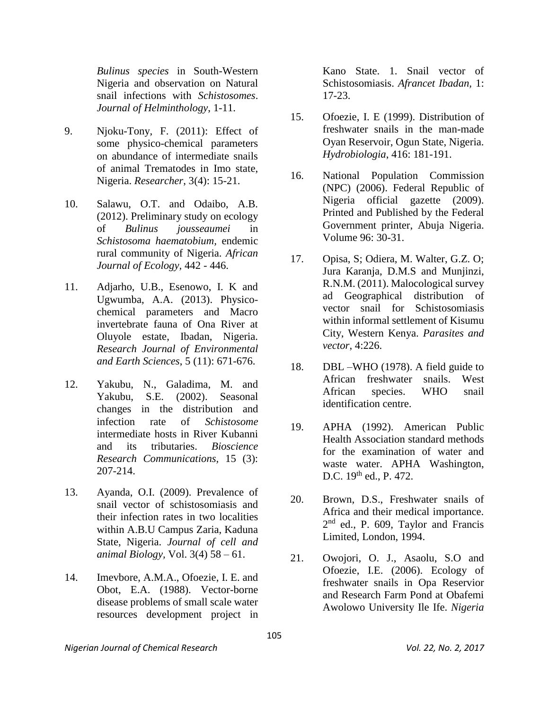*Bulinus species* in South-Western Nigeria and observation on Natural snail infections with *Schistosomes*. *Journal of Helminthology*, 1-11.

- 9. Njoku-Tony, F. (2011): Effect of some physico-chemical parameters on abundance of intermediate snails of animal Trematodes in Imo state, Nigeria. *Researcher*, 3(4): 15-21.
- 10. Salawu, O.T. and Odaibo, A.B. (2012). Preliminary study on ecology of *Bulinus jousseaumei* in *Schistosoma haematobium,* endemic rural community of Nigeria. *African Journal of Ecology,* 442 - 446.
- 11. Adjarho, U.B., Esenowo, I. K and Ugwumba, A.A. (2013). Physicochemical parameters and Macro invertebrate fauna of Ona River at Oluyole estate, Ibadan, Nigeria. *Research Journal of Environmental and Earth Sciences*, 5 (11): 671-676.
- 12. Yakubu, N., Galadima, M. and Yakubu, S.E. (2002). Seasonal changes in the distribution and infection rate of *Schistosome* intermediate hosts in River Kubanni and its tributaries. *Bioscience Research Communications,* 15 (3): 207-214.
- 13. Ayanda, O.I. (2009). Prevalence of snail vector of schistosomiasis and their infection rates in two localities within A.B.U Campus Zaria, Kaduna State, Nigeria. *Journal of cell and animal Biology,* Vol. 3(4) 58 – 61.
- 14. Imevbore, A.M.A., Ofoezie, I. E. and Obot, E.A. (1988). Vector-borne disease problems of small scale water resources development project in

Kano State. 1. Snail vector of Schistosomiasis. *Afrancet Ibadan,* 1: 17-23.

- 15. Ofoezie, I. E (1999). Distribution of freshwater snails in the man-made Oyan Reservoir, Ogun State, Nigeria. *Hydrobiologia*, 416: 181-191.
- 16. National Population Commission (NPC) (2006). Federal Republic of Nigeria official gazette (2009). Printed and Published by the Federal Government printer, Abuja Nigeria. Volume 96: 30-31.
- 17. Opisa, S; Odiera, M. Walter, G.Z. O; Jura Karanja, D.M.S and Munjinzi, R.N.M. (2011). Malocological survey ad Geographical distribution of vector snail for Schistosomiasis within informal settlement of Kisumu City, Western Kenya. *Parasites and vector*, 4:226.
- 18. DBL –WHO (1978). A field guide to African freshwater snails. West African species. WHO snail identification centre.
- 19. APHA (1992). American Public Health Association standard methods for the examination of water and waste water. APHA Washington, D.C. 19<sup>th</sup> ed., P. 472.
- 20. Brown, D.S., Freshwater snails of Africa and their medical importance. 2<sup>nd</sup> ed., P. 609, Taylor and Francis Limited, London, 1994.
- 21. Owojori, O. J., Asaolu, S.O and Ofoezie, I.E. (2006). Ecology of freshwater snails in Opa Reservior and Research Farm Pond at Obafemi Awolowo University Ile Ife. *Nigeria*